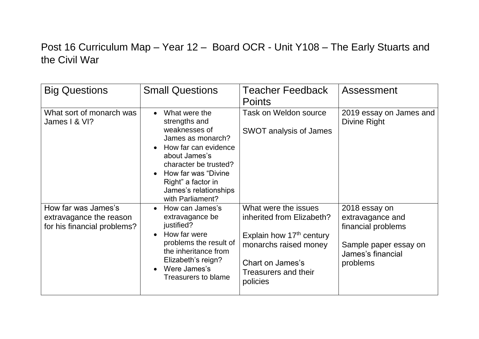## Post 16 Curriculum Map – Year 12 – Board OCR - Unit Y108 – The Early Stuarts and the Civil War

| <b>Big Questions</b>                                                          | <b>Small Questions</b>                                                                                                                                                                                                                                     | <b>Teacher Feedback</b><br><b>Points</b>                                                                                                                                          | Assessment                                                                                                        |
|-------------------------------------------------------------------------------|------------------------------------------------------------------------------------------------------------------------------------------------------------------------------------------------------------------------------------------------------------|-----------------------------------------------------------------------------------------------------------------------------------------------------------------------------------|-------------------------------------------------------------------------------------------------------------------|
| What sort of monarch was<br>James I & VI?                                     | What were the<br>$\bullet$<br>strengths and<br>weaknesses of<br>James as monarch?<br>How far can evidence<br>$\bullet$<br>about James's<br>character be trusted?<br>How far was "Divine<br>Right" a factor in<br>James's relationships<br>with Parliament? | <b>Task on Weldon source</b><br><b>SWOT analysis of James</b>                                                                                                                     | 2019 essay on James and<br>Divine Right                                                                           |
| How far was James's<br>extravagance the reason<br>for his financial problems? | How can James's<br>$\bullet$<br>extravagance be<br>justified?<br>How far were<br>$\bullet$<br>problems the result of<br>the inheritance from<br>Elizabeth's reign?<br>Were James's<br>$\bullet$<br><b>Treasurers to blame</b>                              | What were the issues<br>inherited from Elizabeth?<br>Explain how 17 <sup>th</sup> century<br>monarchs raised money<br>Chart on James's<br><b>Treasurers and their</b><br>policies | 2018 essay on<br>extravagance and<br>financial problems<br>Sample paper essay on<br>James's financial<br>problems |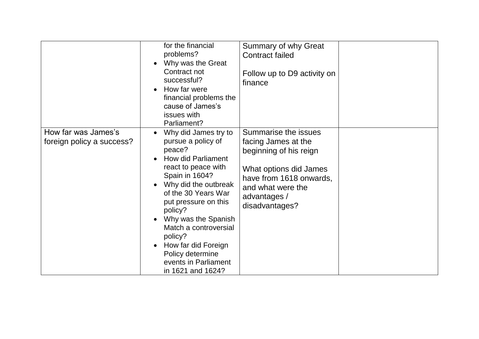|                                                  | for the financial<br>problems?<br>Why was the Great<br>$\bullet$<br>Contract not<br>successful?<br>How far were<br>$\bullet$<br>financial problems the<br>cause of James's<br>issues with<br>Parliament?                                                                                                                                                                                  | Summary of why Great<br><b>Contract failed</b><br>Follow up to D9 activity on<br>finance                                                                                          |  |
|--------------------------------------------------|-------------------------------------------------------------------------------------------------------------------------------------------------------------------------------------------------------------------------------------------------------------------------------------------------------------------------------------------------------------------------------------------|-----------------------------------------------------------------------------------------------------------------------------------------------------------------------------------|--|
| How far was James's<br>foreign policy a success? | Why did James try to<br>$\bullet$<br>pursue a policy of<br>peace?<br><b>How did Parliament</b><br>react to peace with<br>Spain in 1604?<br>Why did the outbreak<br>of the 30 Years War<br>put pressure on this<br>policy?<br>Why was the Spanish<br>Match a controversial<br>policy?<br>How far did Foreign<br>$\bullet$<br>Policy determine<br>events in Parliament<br>in 1621 and 1624? | Summarise the issues<br>facing James at the<br>beginning of his reign<br>What options did James<br>have from 1618 onwards,<br>and what were the<br>advantages /<br>disadvantages? |  |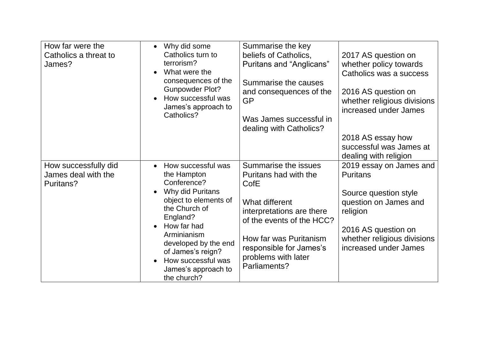| How far were the<br>Catholics a threat to<br>James?      | Why did some<br>$\bullet$<br>Catholics turn to<br>terrorism?<br>What were the<br>consequences of the<br><b>Gunpowder Plot?</b><br>How successful was<br>James's approach to<br>Catholics?                                                                                                   | Summarise the key<br>beliefs of Catholics,<br>Puritans and "Anglicans"<br>Summarise the causes<br>and consequences of the<br><b>GP</b><br>Was James successful in<br>dealing with Catholics?                                  | 2017 AS question on<br>whether policy towards<br>Catholics was a success<br>2016 AS question on<br>whether religious divisions<br>increased under James<br>2018 AS essay how<br>successful was James at<br>dealing with religion |
|----------------------------------------------------------|---------------------------------------------------------------------------------------------------------------------------------------------------------------------------------------------------------------------------------------------------------------------------------------------|-------------------------------------------------------------------------------------------------------------------------------------------------------------------------------------------------------------------------------|----------------------------------------------------------------------------------------------------------------------------------------------------------------------------------------------------------------------------------|
| How successfully did<br>James deal with the<br>Puritans? | How successful was<br>the Hampton<br>Conference?<br>Why did Puritans<br>object to elements of<br>the Church of<br>England?<br>How far had<br>$\bullet$<br>Arminianism<br>developed by the end<br>of James's reign?<br>How successful was<br>$\bullet$<br>James's approach to<br>the church? | Summarise the issues<br>Puritans had with the<br>CofE<br>What different<br>interpretations are there<br>of the events of the HCC?<br>How far was Puritanism<br>responsible for James's<br>problems with later<br>Parliaments? | 2019 essay on James and<br><b>Puritans</b><br>Source question style<br>question on James and<br>religion<br>2016 AS question on<br>whether religious divisions<br>increased under James                                          |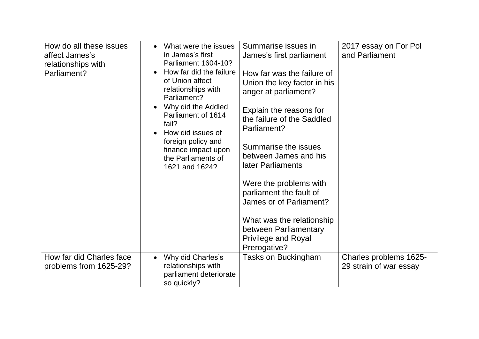| How do all these issues                            | What were the issues<br>in James's first                                                                                                                              | Summarise issues in                                                                                                            | 2017 essay on For Pol                            |
|----------------------------------------------------|-----------------------------------------------------------------------------------------------------------------------------------------------------------------------|--------------------------------------------------------------------------------------------------------------------------------|--------------------------------------------------|
| affect James's                                     | <b>Parliament 1604-10?</b>                                                                                                                                            | James's first parliament                                                                                                       | and Parliament                                   |
| relationships with                                 | How far did the failure                                                                                                                                               |                                                                                                                                |                                                  |
| Parliament?                                        | of Union affect                                                                                                                                                       | How far was the failure of                                                                                                     |                                                  |
|                                                    | relationships with                                                                                                                                                    | Union the key factor in his                                                                                                    |                                                  |
|                                                    | Parliament?                                                                                                                                                           | anger at parliament?                                                                                                           |                                                  |
|                                                    | Why did the Addled<br>$\bullet$                                                                                                                                       | Explain the reasons for                                                                                                        |                                                  |
|                                                    | Parliament of 1614                                                                                                                                                    | the failure of the Saddled                                                                                                     |                                                  |
|                                                    | fail?                                                                                                                                                                 | Parliament?                                                                                                                    |                                                  |
|                                                    | How did issues of                                                                                                                                                     |                                                                                                                                |                                                  |
|                                                    |                                                                                                                                                                       | Summarise the issues                                                                                                           |                                                  |
|                                                    |                                                                                                                                                                       | between James and his                                                                                                          |                                                  |
|                                                    |                                                                                                                                                                       | later Parliaments                                                                                                              |                                                  |
|                                                    |                                                                                                                                                                       |                                                                                                                                |                                                  |
|                                                    |                                                                                                                                                                       | Were the problems with                                                                                                         |                                                  |
|                                                    |                                                                                                                                                                       | parliament the fault of                                                                                                        |                                                  |
|                                                    |                                                                                                                                                                       | James or of Parliament?                                                                                                        |                                                  |
|                                                    |                                                                                                                                                                       |                                                                                                                                |                                                  |
|                                                    |                                                                                                                                                                       |                                                                                                                                |                                                  |
|                                                    |                                                                                                                                                                       |                                                                                                                                |                                                  |
|                                                    |                                                                                                                                                                       |                                                                                                                                |                                                  |
|                                                    |                                                                                                                                                                       |                                                                                                                                |                                                  |
|                                                    | $\bullet$                                                                                                                                                             |                                                                                                                                |                                                  |
|                                                    |                                                                                                                                                                       |                                                                                                                                |                                                  |
|                                                    |                                                                                                                                                                       |                                                                                                                                |                                                  |
| How far did Charles face<br>problems from 1625-29? | foreign policy and<br>finance impact upon<br>the Parliaments of<br>1621 and 1624?<br>Why did Charles's<br>relationships with<br>parliament deteriorate<br>so quickly? | What was the relationship<br>between Parliamentary<br><b>Privilege and Royal</b><br>Prerogative?<br><b>Tasks on Buckingham</b> | Charles problems 1625-<br>29 strain of war essay |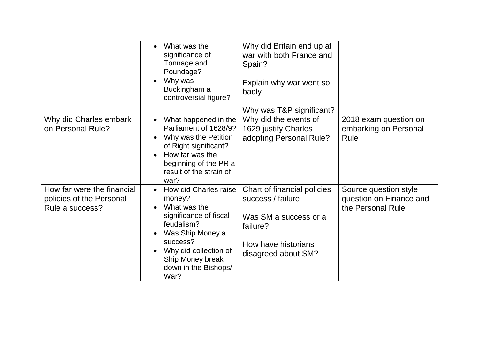|                                                                           | What was the<br>$\bullet$<br>significance of<br>Tonnage and<br>Poundage?<br>Why was<br>$\bullet$<br>Buckingham a<br>controversial figure?                                                                                      | Why did Britain end up at<br>war with both France and<br>Spain?<br>Explain why war went so<br>badly<br>Why was T&P significant?     |                                                                       |
|---------------------------------------------------------------------------|--------------------------------------------------------------------------------------------------------------------------------------------------------------------------------------------------------------------------------|-------------------------------------------------------------------------------------------------------------------------------------|-----------------------------------------------------------------------|
| Why did Charles embark<br>on Personal Rule?                               | What happened in the<br>$\bullet$<br>Parliament of 1628/9?<br>Why was the Petition<br>of Right significant?<br>How far was the<br>$\bullet$<br>beginning of the PR a<br>result of the strain of<br>war?                        | Why did the events of<br>1629 justify Charles<br>adopting Personal Rule?                                                            | 2018 exam question on<br>embarking on Personal<br>Rule                |
| How far were the financial<br>policies of the Personal<br>Rule a success? | How did Charles raise<br>$\bullet$<br>money?<br>What was the<br>significance of fiscal<br>feudalism?<br>Was Ship Money a<br>success?<br>Why did collection of<br>$\bullet$<br>Ship Money break<br>down in the Bishops/<br>War? | Chart of financial policies<br>success / failure<br>Was SM a success or a<br>failure?<br>How have historians<br>disagreed about SM? | Source question style<br>question on Finance and<br>the Personal Rule |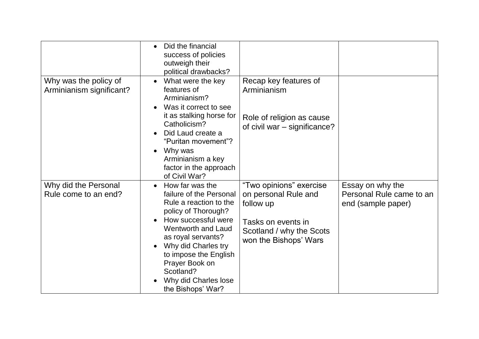|                                                   | Did the financial<br>$\bullet$<br>success of policies<br>outweigh their<br>political drawbacks?                                                                                                                                                                                                   |                                                                                                                                         |                                                                    |
|---------------------------------------------------|---------------------------------------------------------------------------------------------------------------------------------------------------------------------------------------------------------------------------------------------------------------------------------------------------|-----------------------------------------------------------------------------------------------------------------------------------------|--------------------------------------------------------------------|
| Why was the policy of<br>Arminianism significant? | What were the key<br>features of<br>Arminianism?<br>Was it correct to see<br>it as stalking horse for<br>Catholicism?<br>Did Laud create a<br>$\bullet$<br>"Puritan movement"?<br>Why was<br>$\bullet$<br>Arminianism a key<br>factor in the approach<br>of Civil War?                            | Recap key features of<br>Arminianism<br>Role of religion as cause<br>of civil war – significance?                                       |                                                                    |
| Why did the Personal<br>Rule come to an end?      | How far was the<br>failure of the Personal<br>Rule a reaction to the<br>policy of Thorough?<br>How successful were<br><b>Wentworth and Laud</b><br>as royal servants?<br>Why did Charles try<br>to impose the English<br>Prayer Book on<br>Scotland?<br>Why did Charles lose<br>the Bishops' War? | "Two opinions" exercise<br>on personal Rule and<br>follow up<br>Tasks on events in<br>Scotland / why the Scots<br>won the Bishops' Wars | Essay on why the<br>Personal Rule came to an<br>end (sample paper) |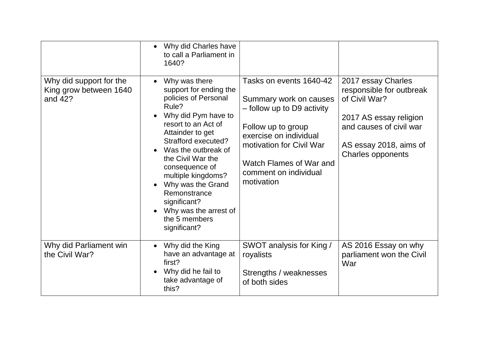|                                                              | Why did Charles have<br>$\bullet$<br>to call a Parliament in<br>1640?                                                                                                                                                                                                                                                                                                |                                                                                                                                                                                                                               |                                                                                                                                                                            |
|--------------------------------------------------------------|----------------------------------------------------------------------------------------------------------------------------------------------------------------------------------------------------------------------------------------------------------------------------------------------------------------------------------------------------------------------|-------------------------------------------------------------------------------------------------------------------------------------------------------------------------------------------------------------------------------|----------------------------------------------------------------------------------------------------------------------------------------------------------------------------|
| Why did support for the<br>King grow between 1640<br>and 42? | Why was there<br>support for ending the<br>policies of Personal<br>Rule?<br>Why did Pym have to<br>resort to an Act of<br>Attainder to get<br>Strafford executed?<br>Was the outbreak of<br>the Civil War the<br>consequence of<br>multiple kingdoms?<br>Why was the Grand<br>Remonstrance<br>significant?<br>Why was the arrest of<br>the 5 members<br>significant? | Tasks on events 1640-42<br>Summary work on causes<br>- follow up to D9 activity<br>Follow up to group<br>exercise on individual<br>motivation for Civil War<br>Watch Flames of War and<br>comment on individual<br>motivation | 2017 essay Charles<br>responsible for outbreak<br>of Civil War?<br>2017 AS essay religion<br>and causes of civil war<br>AS essay 2018, aims of<br><b>Charles opponents</b> |
| Why did Parliament win<br>the Civil War?                     | Why did the King<br>have an advantage at<br>first?<br>Why did he fail to<br>take advantage of<br>this?                                                                                                                                                                                                                                                               | SWOT analysis for King /<br>royalists<br>Strengths / weaknesses<br>of both sides                                                                                                                                              | AS 2016 Essay on why<br>parliament won the Civil<br>War                                                                                                                    |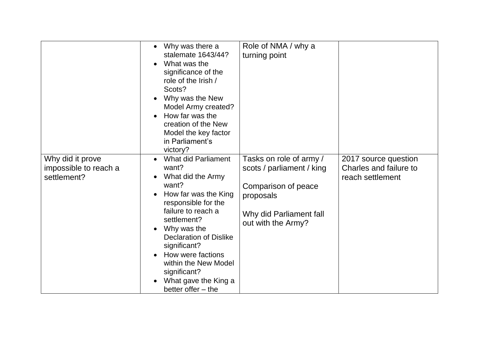|                                                          | Why was there a<br>$\bullet$<br>stalemate 1643/44?<br>What was the<br>significance of the<br>role of the Irish /<br>Scots?<br>Why was the New<br>Model Army created?<br>How far was the<br>$\bullet$<br>creation of the New<br>Model the key factor<br>in Parliament's<br>victory?                                                                                        | Role of NMA / why a<br>turning point                                                                                                      |                                                                    |
|----------------------------------------------------------|---------------------------------------------------------------------------------------------------------------------------------------------------------------------------------------------------------------------------------------------------------------------------------------------------------------------------------------------------------------------------|-------------------------------------------------------------------------------------------------------------------------------------------|--------------------------------------------------------------------|
| Why did it prove<br>impossible to reach a<br>settlement? | <b>What did Parliament</b><br>want?<br>What did the Army<br>$\bullet$<br>want?<br>How far was the King<br>$\bullet$<br>responsible for the<br>failure to reach a<br>settlement?<br>Why was the<br>$\bullet$<br><b>Declaration of Dislike</b><br>significant?<br>How were factions<br>within the New Model<br>significant?<br>What gave the King a<br>better offer $-$ the | Tasks on role of army /<br>scots / parliament / king<br>Comparison of peace<br>proposals<br>Why did Parliament fall<br>out with the Army? | 2017 source question<br>Charles and failure to<br>reach settlement |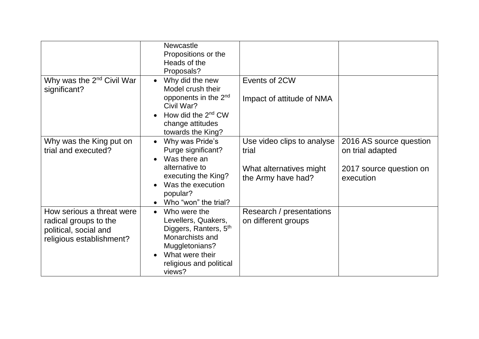|                                                                                                         | <b>Newcastle</b><br>Propositions or the<br>Heads of the<br>Proposals?                                                                                                                                       |                                                                                      |                                                                                     |
|---------------------------------------------------------------------------------------------------------|-------------------------------------------------------------------------------------------------------------------------------------------------------------------------------------------------------------|--------------------------------------------------------------------------------------|-------------------------------------------------------------------------------------|
| Why was the 2 <sup>nd</sup> Civil War<br>significant?                                                   | Why did the new<br>Model crush their<br>opponents in the 2 <sup>nd</sup><br>Civil War?<br>How did the 2 <sup>nd</sup> CW<br>$\bullet$<br>change attitudes<br>towards the King?                              | Events of 2CW<br>Impact of attitude of NMA                                           |                                                                                     |
| Why was the King put on<br>trial and executed?                                                          | Why was Pride's<br>$\bullet$<br>Purge significant?<br>Was there an<br>$\bullet$<br>alternative to<br>executing the King?<br>Was the execution<br>$\bullet$<br>popular?<br>Who "won" the trial?<br>$\bullet$ | Use video clips to analyse<br>trial<br>What alternatives might<br>the Army have had? | 2016 AS source question<br>on trial adapted<br>2017 source question on<br>execution |
| How serious a threat were<br>radical groups to the<br>political, social and<br>religious establishment? | Who were the<br>$\bullet$<br>Levellers, Quakers,<br>Diggers, Ranters, 5 <sup>th</sup><br>Monarchists and<br>Muggletonians?<br>What were their<br>$\bullet$<br>religious and political<br>views?             | Research / presentations<br>on different groups                                      |                                                                                     |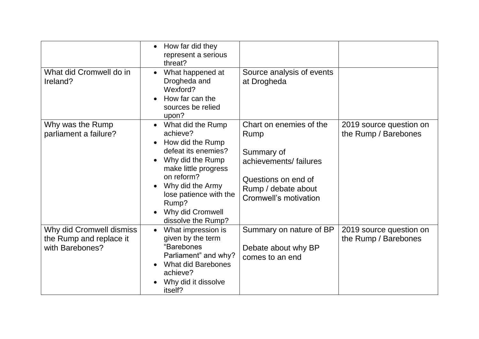|                                                                        | How far did they<br>$\bullet$<br>represent a serious<br>threat?                                                                                                                                                                                               |                                                                                                                                               |                                                 |
|------------------------------------------------------------------------|---------------------------------------------------------------------------------------------------------------------------------------------------------------------------------------------------------------------------------------------------------------|-----------------------------------------------------------------------------------------------------------------------------------------------|-------------------------------------------------|
| What did Cromwell do in<br>Ireland?                                    | What happened at<br>$\bullet$<br>Drogheda and<br>Wexford?<br>How far can the<br>sources be relied<br>upon?                                                                                                                                                    | Source analysis of events<br>at Drogheda                                                                                                      |                                                 |
| Why was the Rump<br>parliament a failure?                              | What did the Rump<br>$\bullet$<br>achieve?<br>How did the Rump<br>$\bullet$<br>defeat its enemies?<br>Why did the Rump<br>make little progress<br>on reform?<br>Why did the Army<br>lose patience with the<br>Rump?<br>Why did Cromwell<br>dissolve the Rump? | Chart on enemies of the<br>Rump<br>Summary of<br>achievements/failures<br>Questions on end of<br>Rump / debate about<br>Cromwell's motivation | 2019 source question on<br>the Rump / Barebones |
| Why did Cromwell dismiss<br>the Rump and replace it<br>with Barebones? | What impression is<br>$\bullet$<br>given by the term<br>"Barebones<br>Parliament" and why?<br><b>What did Barebones</b><br>achieve?<br>Why did it dissolve<br>itself?                                                                                         | Summary on nature of BP<br>Debate about why BP<br>comes to an end                                                                             | 2019 source question on<br>the Rump / Barebones |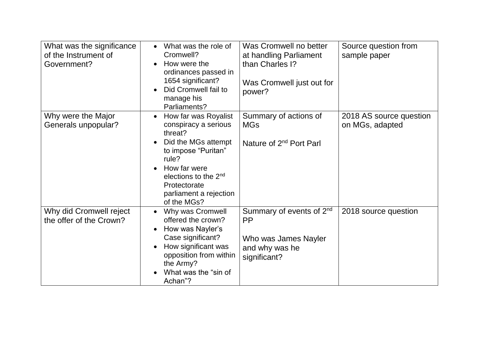| What was the significance<br>of the Instrument of<br>Government? | What was the role of<br>Cromwell?<br>How were the<br>$\bullet$<br>ordinances passed in<br>1654 significant?<br>Did Cromwell fail to<br>$\bullet$<br>manage his<br>Parliaments?                                                                        | Was Cromwell no better<br>at handling Parliament<br>than Charles I?<br>Was Cromwell just out for<br>power?  | Source question from<br>sample paper       |
|------------------------------------------------------------------|-------------------------------------------------------------------------------------------------------------------------------------------------------------------------------------------------------------------------------------------------------|-------------------------------------------------------------------------------------------------------------|--------------------------------------------|
| Why were the Major<br>Generals unpopular?                        | How far was Royalist<br>$\bullet$<br>conspiracy a serious<br>threat?<br>Did the MGs attempt<br>$\bullet$<br>to impose "Puritan"<br>rule?<br>How far were<br>elections to the 2 <sup>nd</sup><br>Protectorate<br>parliament a rejection<br>of the MGs? | Summary of actions of<br><b>MGs</b><br>Nature of 2 <sup>nd</sup> Port Parl                                  | 2018 AS source question<br>on MGs, adapted |
| Why did Cromwell reject<br>the offer of the Crown?               | Why was Cromwell<br>offered the crown?<br>How was Nayler's<br>$\bullet$<br>Case significant?<br>How significant was<br>opposition from within<br>the Army?<br>What was the "sin of<br>Achan"?                                                         | Summary of events of 2 <sup>nd</sup><br><b>PP</b><br>Who was James Nayler<br>and why was he<br>significant? | 2018 source question                       |